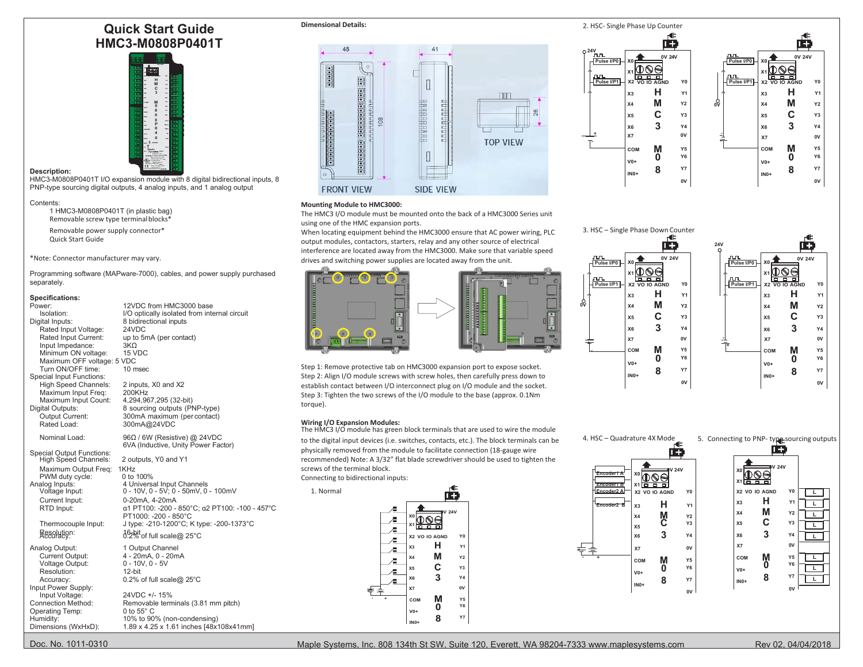# **Quick Start Guide HMC3-M0808P0401T**



# **Description:**

HMC3-M0808P0401T I/O expansion module with 8 digital bidirectional inputs, 8 PNP-type sourcing digital outputs, 4 analog inputs, and 1 analog output

### Contents:

1 HMC3-M0808P0401T (in plastic bag) Removable screw type terminal blocks\*

Removable power supply connector\* Quick Start Guide

\*Note: Connector manufacturer may vary.

Programming software (MAPware-7000), cables, and power supply purchased separately.

# **Specifications:**

| Power:<br>Isolation:<br>Digital Inputs:<br>Rated Input Voltage:<br>Rated Input Current:<br>Input Impedance:<br>Minimum ON voltage:<br>Maximum OFF voltage: 5 VDC<br>Turn ON/OFF time: | 12VDC from HMC3000 base<br>I/O optically isolated from internal circuit<br>8 bidirectional inputs<br>24VDC<br>up to 5mA (per contact)<br>$3K\Omega$<br>15 VDC<br>10 msec | 1888888888<br>$\blacksquare$<br>Step 1: Remove protective tab on HMC3000 expansion port to expose socket. | ωv<br>M<br>Y <sub>2</sub><br>X <sub>4</sub><br><b>X4</b><br>C<br>Y3<br>X5<br>X5<br>3<br><b>Y4</b><br>X6<br>X6<br>0V<br>X7<br>X7<br>-24<br>元<br>M<br>Y5<br>COM<br>COM<br>$\bf{0}$<br>Y6<br>$V0+$<br>$V0+$<br><b>Y7</b><br>8 |
|---------------------------------------------------------------------------------------------------------------------------------------------------------------------------------------|--------------------------------------------------------------------------------------------------------------------------------------------------------------------------|-----------------------------------------------------------------------------------------------------------|----------------------------------------------------------------------------------------------------------------------------------------------------------------------------------------------------------------------------|
| Special Input Functions:                                                                                                                                                              |                                                                                                                                                                          | Step 2: Align I/O module screws with screw holes, then carefully press down to                            | $INO+$<br>$INO+$<br>0V                                                                                                                                                                                                     |
| High Speed Channels:                                                                                                                                                                  | 2 inputs, X0 and X2                                                                                                                                                      | establish contact between I/O interconnect plug on I/O module and the socket.                             |                                                                                                                                                                                                                            |
| Maximum Input Freq:                                                                                                                                                                   | 200KHz<br>4,294,967,295 (32-bit)                                                                                                                                         | Step 3: Tighten the two screws of the I/O module to the base (approx. 0.1Nm)                              |                                                                                                                                                                                                                            |
| Maximum Input Count:<br>Digital Outputs:                                                                                                                                              | 8 sourcing outputs (PNP-type)                                                                                                                                            | torque).                                                                                                  |                                                                                                                                                                                                                            |
| Output Current:                                                                                                                                                                       | 300mA maximum (per contact)                                                                                                                                              |                                                                                                           |                                                                                                                                                                                                                            |
| Rated Load:                                                                                                                                                                           | 300mA@24VDC                                                                                                                                                              | <b>Wiring I/O Expansion Modules:</b>                                                                      |                                                                                                                                                                                                                            |
| Nominal Load:                                                                                                                                                                         | 96Ω / 6W (Resistive) @ 24VDC                                                                                                                                             | The HMC3 I/O module has green block terminals that are used to wire the module                            |                                                                                                                                                                                                                            |
|                                                                                                                                                                                       | 6VA (Inductive, Unity Power Factor)                                                                                                                                      | to the digital input devices (i.e. switches, contacts, etc.). The block terminals can be                  | 4. HSC - Quadrature 4X Mode<br>5. Connecting to PNP-type-sou                                                                                                                                                               |
| <b>Special Output Functions:</b>                                                                                                                                                      |                                                                                                                                                                          | physically removed from the module to facilitate connection (18-gauge wire                                | <u>14.</u><br>$1 +$                                                                                                                                                                                                        |
| High Speed Channels:                                                                                                                                                                  | 2 outputs, Y0 and Y1                                                                                                                                                     | recommended) Note: A 3/32" flat blade screwdriver should be used to tighten the                           |                                                                                                                                                                                                                            |
| Maximum Output Freq:                                                                                                                                                                  | 1KHz                                                                                                                                                                     | screws of the terminal block.                                                                             | V 24V<br>IV <sub>24V</sub><br>$\sqrt[36]{\mathbb{Q}\otimes\Theta}$<br><b>Encoder1 A</b>                                                                                                                                    |
| PWM duty cycle:                                                                                                                                                                       | 0 to 100%                                                                                                                                                                | Connecting to bidirectional inputs:                                                                       | $*$ <sup>0</sup><br>x1 ㅎ ㅎ ㅎ                                                                                                                                                                                               |
| Analog Inputs:<br>Voltage Input:                                                                                                                                                      | 4 Universal Input Channels<br>$0 - 10V, 0 - 5V$ ; 0 - 50mV, 0 - 100mV                                                                                                    | 1. Normal                                                                                                 | <b>Encoder1 B</b><br>1666<br>Encoder <sub>2</sub> A<br>X2 VO IO AGND<br>Y <sub>0</sub><br>X2 VO IO AGND                                                                                                                    |
| Current Input:                                                                                                                                                                        | 0-20mA, 4-20mA                                                                                                                                                           | œ                                                                                                         | н                                                                                                                                                                                                                          |
| RTD Input:                                                                                                                                                                            | α1 PT100: -200 - 850°C: α2 PT100: -100 - 457°C                                                                                                                           |                                                                                                           | н<br>X3<br><b>Y1</b><br><b>Encoder2 B</b><br>X <sub>3</sub>                                                                                                                                                                |
|                                                                                                                                                                                       | PT1000: -200 - 850°C                                                                                                                                                     | 124V<br>°®®                                                                                               | M<br>X4<br>M<br>C<br><b>Y2</b><br><b>Y2</b><br>X <sub>4</sub>                                                                                                                                                              |
| Thermocouple Input:                                                                                                                                                                   | J type: -210-1200°C; K type: -200-1373°C                                                                                                                                 | ' <del>h h h h</del>                                                                                      | C<br>Y3<br>Y <sub>3</sub><br>X <sub>5</sub><br>X5                                                                                                                                                                          |
| Resolution:                                                                                                                                                                           | 1 <sup>6</sup> 2% of full scale@ 25°C                                                                                                                                    | X2 VO IO AGND<br>Y <sub>0</sub>                                                                           | 3<br>3<br>Y <sub>4</sub><br>X6<br>Y4<br>X <sub>6</sub>                                                                                                                                                                     |
| Analog Output:                                                                                                                                                                        | 1 Output Channel                                                                                                                                                         | н<br>Y1<br>X3                                                                                             | X7<br>0V<br>0V                                                                                                                                                                                                             |
| Current Output:                                                                                                                                                                       | 4 - 20mA, 0 - 20mA                                                                                                                                                       | M<br>Y2<br>X <sub>4</sub>                                                                                 | ᡩ≢<br>X7<br>M<br>COM<br>Y5                                                                                                                                                                                                 |
| Voltage Output:                                                                                                                                                                       | $0 - 10V, 0 - 5V$                                                                                                                                                        |                                                                                                           | M<br>Y <sub>5</sub><br>COM<br>0<br>Y6                                                                                                                                                                                      |
| Resolution:                                                                                                                                                                           | 12-bit                                                                                                                                                                   | C<br>Y3<br>X <sub>5</sub>                                                                                 | <b>Y6</b><br>0<br>$V0+$<br>$V0+$                                                                                                                                                                                           |
| Accuracy:                                                                                                                                                                             | 0.2% of full scale@ 25°C                                                                                                                                                 | 3<br>Y4<br>X <sub>6</sub>                                                                                 | 8<br><b>Y7</b><br>8<br>Y7<br>$INO+$                                                                                                                                                                                        |
| Input Power Supply:                                                                                                                                                                   |                                                                                                                                                                          | 0V<br>X7                                                                                                  | $INO+$<br>0V                                                                                                                                                                                                               |
| Input Voltage:                                                                                                                                                                        | 24VDC +/- 15%                                                                                                                                                            | М<br>$\mathsf{Y}5$<br>COM                                                                                 |                                                                                                                                                                                                                            |
| <b>Connection Method:</b><br>Operating Temp:                                                                                                                                          | Removable terminals (3.81 mm pitch)<br>0 to $55^\circ$ C                                                                                                                 | Y6<br>o<br>$V0+$                                                                                          |                                                                                                                                                                                                                            |
| Humidity:                                                                                                                                                                             | 10% to 90% (non-condensing)                                                                                                                                              | $\mathsf{Y} \mathsf{7}$<br>8                                                                              |                                                                                                                                                                                                                            |
| Dimensions (WxHxD):                                                                                                                                                                   | 1.89 x 4.25 x 1.61 inches [48x108x41mm]                                                                                                                                  | $INO+$                                                                                                    |                                                                                                                                                                                                                            |



**Dimensional Details:** 2. HSC- Single Phase Up Counter

# **Mounting Module to HMC3000:**

The HMC3 I/O module must be mounted onto the back of a HMC3000 Series unit using one of the HMC expansion ports.

When locating equipment behind the HMC3000 ensure that AC power wiring, PLC output modules, contactors, starters, relay and any other source of electrical interference are located away from the HMC3000. Make sure that variable speed

drives and switching power supplies are located away from the unit.







**X6 3 Y4**

**COM M**  $Y5$ <br> **COM M**  $Y6$ **V0+ 0 Y6 IN0+ 8 Y7**

 $0V$ 



4. HSC – Quadrature 4X Mode\_ 5. Connecting to PNP- type sourcing outputs



œ **24V 0V 24V X0 Pulse I/P0**€ **X1 Pulse I/P1** hо **X3 H Y1 X4 M Y2 0V X5 C Y3**

 **+ -**



**0V 24V**

ТÐ

**0V**